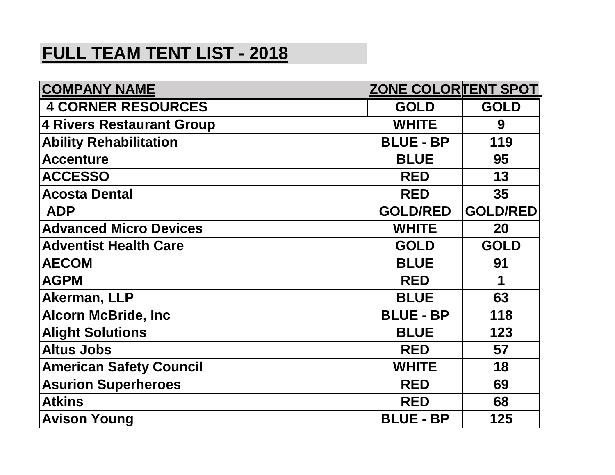## **FULL TEAM TENT LIST - 2018**

| <b>COMPANY NAME</b>              | <b>ZONE COLORTENT SPOT</b> |                 |
|----------------------------------|----------------------------|-----------------|
| <b>4 CORNER RESOURCES</b>        | <b>GOLD</b>                | <b>GOLD</b>     |
| <b>4 Rivers Restaurant Group</b> | <b>WHITE</b>               | 9               |
| <b>Ability Rehabilitation</b>    | <b>BLUE - BP</b>           | 119             |
| <b>Accenture</b>                 | <b>BLUE</b>                | 95              |
| <b>ACCESSO</b>                   | <b>RED</b>                 | 13              |
| <b>Acosta Dental</b>             | <b>RED</b>                 | 35              |
| <b>ADP</b>                       | <b>GOLD/RED</b>            | <b>GOLD/RED</b> |
| <b>Advanced Micro Devices</b>    | <b>WHITE</b>               | <b>20</b>       |
| <b>Adventist Health Care</b>     | <b>GOLD</b>                | <b>GOLD</b>     |
| <b>AECOM</b>                     | <b>BLUE</b>                | 91              |
| <b>AGPM</b>                      | <b>RED</b>                 | 1               |
| Akerman, LLP                     | <b>BLUE</b>                | 63              |
| <b>Alcorn McBride, Inc</b>       | <b>BLUE - BP</b>           | 118             |
| <b>Alight Solutions</b>          | <b>BLUE</b>                | 123             |
| <b>Altus Jobs</b>                | <b>RED</b>                 | 57              |
| <b>American Safety Council</b>   | <b>WHITE</b>               | 18              |
| <b>Asurion Superheroes</b>       | <b>RED</b>                 | 69              |
| <b>Atkins</b>                    | <b>RED</b>                 | 68              |
| <b>Avison Young</b>              | <b>BLUE - BP</b>           | 125             |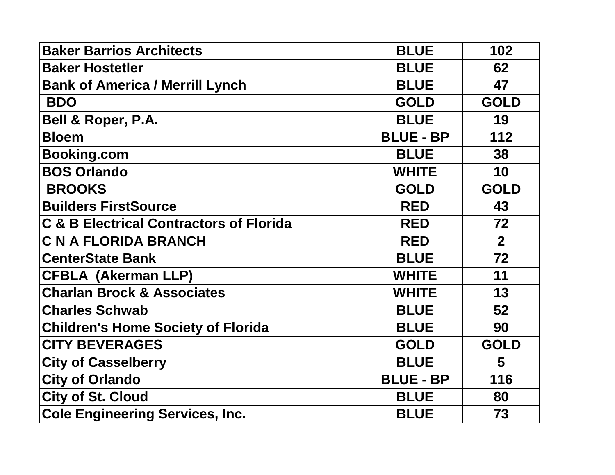| <b>Baker Barrios Architects</b>                    | <b>BLUE</b>      | 102            |
|----------------------------------------------------|------------------|----------------|
| <b>Baker Hostetler</b>                             | <b>BLUE</b>      | 62             |
| <b>Bank of America / Merrill Lynch</b>             | <b>BLUE</b>      | 47             |
| <b>BDO</b>                                         | <b>GOLD</b>      | <b>GOLD</b>    |
| Bell & Roper, P.A.                                 | <b>BLUE</b>      | 19             |
| <b>Bloem</b>                                       | <b>BLUE - BP</b> | 112            |
| <b>Booking.com</b>                                 | <b>BLUE</b>      | 38             |
| <b>BOS Orlando</b>                                 | <b>WHITE</b>     | 10             |
| <b>BROOKS</b>                                      | <b>GOLD</b>      | <b>GOLD</b>    |
| <b>Builders FirstSource</b>                        | <b>RED</b>       | 43             |
| <b>C &amp; B Electrical Contractors of Florida</b> | <b>RED</b>       | 72             |
| <b>C N A FLORIDA BRANCH</b>                        | <b>RED</b>       | 2 <sup>1</sup> |
| <b>CenterState Bank</b>                            | <b>BLUE</b>      | 72             |
| <b>CFBLA (Akerman LLP)</b>                         | <b>WHITE</b>     | 11             |
| <b>Charlan Brock &amp; Associates</b>              | <b>WHITE</b>     | 13             |
| <b>Charles Schwab</b>                              | <b>BLUE</b>      | 52             |
| <b>Children's Home Society of Florida</b>          | <b>BLUE</b>      | 90             |
| <b>CITY BEVERAGES</b>                              | <b>GOLD</b>      | <b>GOLD</b>    |
| <b>City of Casselberry</b>                         | <b>BLUE</b>      | 5              |
| <b>City of Orlando</b>                             | <b>BLUE - BP</b> | 116            |
| <b>City of St. Cloud</b>                           | <b>BLUE</b>      | 80             |
| <b>Cole Engineering Services, Inc.</b>             | <b>BLUE</b>      | 73             |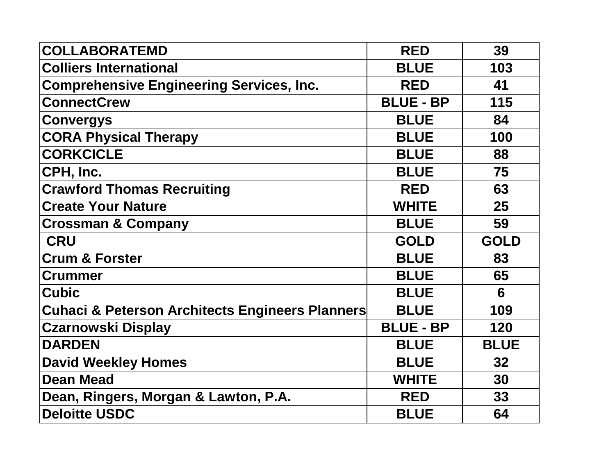| <b>COLLABORATEMD</b>                                       | <b>RED</b>       | 39          |
|------------------------------------------------------------|------------------|-------------|
| <b>Colliers International</b>                              | <b>BLUE</b>      | 103         |
| <b>Comprehensive Engineering Services, Inc.</b>            | <b>RED</b>       | 41          |
| <b>ConnectCrew</b>                                         | <b>BLUE - BP</b> | 115         |
| <b>Convergys</b>                                           | <b>BLUE</b>      | 84          |
| <b>CORA Physical Therapy</b>                               | <b>BLUE</b>      | 100         |
| <b>CORKCICLE</b>                                           | <b>BLUE</b>      | 88          |
| CPH, Inc.                                                  | <b>BLUE</b>      | 75          |
| <b>Crawford Thomas Recruiting</b>                          | <b>RED</b>       | 63          |
| <b>Create Your Nature</b>                                  | <b>WHITE</b>     | 25          |
| <b>Crossman &amp; Company</b>                              | <b>BLUE</b>      | 59          |
| <b>CRU</b>                                                 | <b>GOLD</b>      | <b>GOLD</b> |
| <b>Crum &amp; Forster</b>                                  | <b>BLUE</b>      | 83          |
| <b>Crummer</b>                                             | <b>BLUE</b>      | 65          |
| <b>Cubic</b>                                               | <b>BLUE</b>      | 6           |
| <b>Cuhaci &amp; Peterson Architects Engineers Planners</b> | <b>BLUE</b>      | 109         |
| <b>Czarnowski Display</b>                                  | <b>BLUE - BP</b> | 120         |
| <b>DARDEN</b>                                              | <b>BLUE</b>      | <b>BLUE</b> |
| <b>David Weekley Homes</b>                                 | <b>BLUE</b>      | 32          |
| <b>Dean Mead</b>                                           | <b>WHITE</b>     | 30          |
| Dean, Ringers, Morgan & Lawton, P.A.                       | <b>RED</b>       | 33          |
| <b>Deloitte USDC</b>                                       | <b>BLUE</b>      | 64          |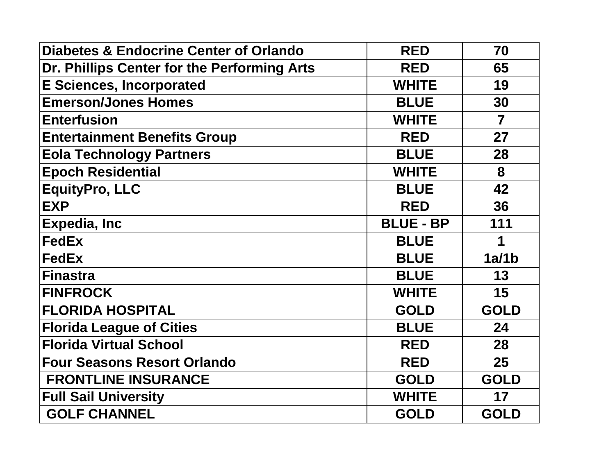| <b>Diabetes &amp; Endocrine Center of Orlando</b> | <b>RED</b>       | 70                      |
|---------------------------------------------------|------------------|-------------------------|
| Dr. Phillips Center for the Performing Arts       | <b>RED</b>       | 65                      |
| <b>E Sciences, Incorporated</b>                   | <b>WHITE</b>     | 19                      |
| <b>Emerson/Jones Homes</b>                        | <b>BLUE</b>      | 30                      |
| <b>Enterfusion</b>                                | <b>WHITE</b>     | $\overline{\mathbf{7}}$ |
| <b>Entertainment Benefits Group</b>               | <b>RED</b>       | 27                      |
| <b>Eola Technology Partners</b>                   | <b>BLUE</b>      | 28                      |
| <b>Epoch Residential</b>                          | <b>WHITE</b>     | 8                       |
| <b>EquityPro, LLC</b>                             | <b>BLUE</b>      | 42                      |
| <b>EXP</b>                                        | <b>RED</b>       | 36                      |
| <b>Expedia, Inc</b>                               | <b>BLUE - BP</b> | 111                     |
| <b>FedEx</b>                                      | <b>BLUE</b>      | 1                       |
| <b>FedEx</b>                                      | <b>BLUE</b>      | 1a/1b                   |
| <b>Finastra</b>                                   | <b>BLUE</b>      | 13                      |
| <b>FINFROCK</b>                                   | <b>WHITE</b>     | 15                      |
| <b>FLORIDA HOSPITAL</b>                           | <b>GOLD</b>      | <b>GOLD</b>             |
|                                                   |                  |                         |
| <b>Florida League of Cities</b>                   | <b>BLUE</b>      | 24                      |
| <b>Florida Virtual School</b>                     | <b>RED</b>       | 28                      |
| <b>Four Seasons Resort Orlando</b>                | <b>RED</b>       | 25                      |
| <b>FRONTLINE INSURANCE</b>                        | <b>GOLD</b>      | <b>GOLD</b>             |
| <b>Full Sail University</b>                       | <b>WHITE</b>     | 17                      |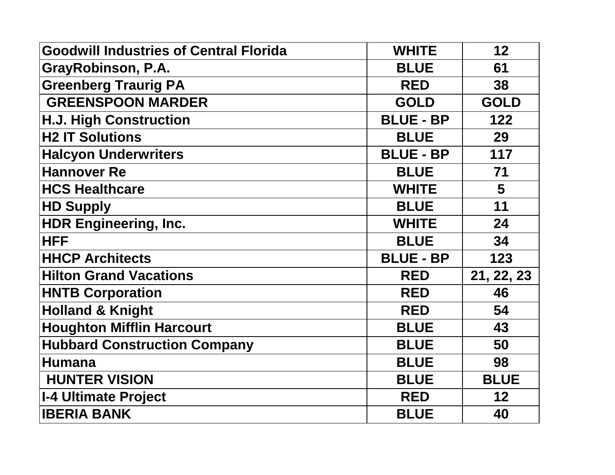| <b>Goodwill Industries of Central Florida</b> | <b>WHITE</b>     | 12             |
|-----------------------------------------------|------------------|----------------|
| GrayRobinson, P.A.                            | <b>BLUE</b>      | 61             |
| <b>Greenberg Traurig PA</b>                   | <b>RED</b>       | 38             |
| <b>GREENSPOON MARDER</b>                      | <b>GOLD</b>      | <b>GOLD</b>    |
| <b>H.J. High Construction</b>                 | <b>BLUE - BP</b> | 122            |
| <b>H2 IT Solutions</b>                        | <b>BLUE</b>      | 29             |
| <b>Halcyon Underwriters</b>                   | <b>BLUE - BP</b> | 117            |
| <b>Hannover Re</b>                            | <b>BLUE</b>      | 71             |
| <b>HCS Healthcare</b>                         | <b>WHITE</b>     | $5\phantom{1}$ |
| <b>HD Supply</b>                              | <b>BLUE</b>      | 11             |
| <b>HDR Engineering, Inc.</b>                  | <b>WHITE</b>     | 24             |
| <b>HFF</b>                                    | <b>BLUE</b>      | 34             |
| <b>HHCP Architects</b>                        | <b>BLUE - BP</b> | 123            |
|                                               |                  |                |
| <b>Hilton Grand Vacations</b>                 | <b>RED</b>       | 21, 22, 23     |
| <b>HNTB Corporation</b>                       | <b>RED</b>       | 46             |
| <b>Holland &amp; Knight</b>                   | <b>RED</b>       | 54             |
| <b>Houghton Mifflin Harcourt</b>              | <b>BLUE</b>      | 43             |
| <b>Hubbard Construction Company</b>           | <b>BLUE</b>      | 50             |
| <b>Humana</b>                                 | <b>BLUE</b>      | 98             |
| <b>HUNTER VISION</b>                          | <b>BLUE</b>      | <b>BLUE</b>    |
| <b>I-4 Ultimate Project</b>                   | <b>RED</b>       | 12             |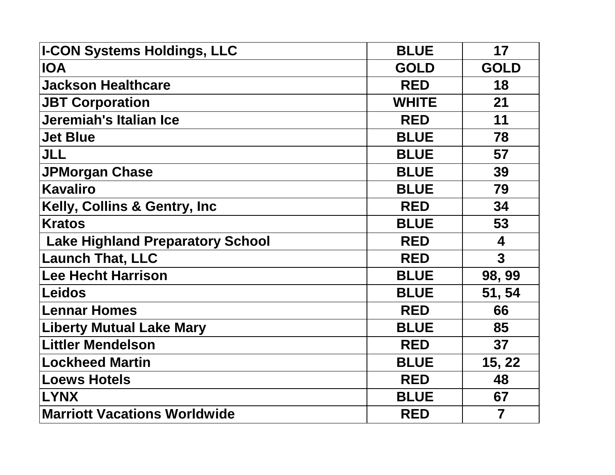| <b>I-CON Systems Holdings, LLC</b>      | <b>BLUE</b>  | 17                      |
|-----------------------------------------|--------------|-------------------------|
| <b>IOA</b>                              | <b>GOLD</b>  | <b>GOLD</b>             |
| <b>Jackson Healthcare</b>               | <b>RED</b>   | 18                      |
| <b>JBT Corporation</b>                  | <b>WHITE</b> | 21                      |
| Jeremiah's Italian Ice                  | <b>RED</b>   | 11                      |
| <b>Jet Blue</b>                         | <b>BLUE</b>  | 78                      |
| <b>JLL</b>                              | <b>BLUE</b>  | 57                      |
| <b>JPMorgan Chase</b>                   | <b>BLUE</b>  | 39                      |
| <b>Kavaliro</b>                         | <b>BLUE</b>  | 79                      |
| Kelly, Collins & Gentry, Inc.           | <b>RED</b>   | 34                      |
| <b>Kratos</b>                           | <b>BLUE</b>  | 53                      |
| <b>Lake Highland Preparatory School</b> | <b>RED</b>   | $\overline{\mathbf{4}}$ |
| <b>Launch That, LLC</b>                 | <b>RED</b>   | $\overline{3}$          |
| <b>Lee Hecht Harrison</b>               | <b>BLUE</b>  | 98, 99                  |
| <b>Leidos</b>                           | <b>BLUE</b>  | 51, 54                  |
| <b>Lennar Homes</b>                     | <b>RED</b>   | 66                      |
| <b>Liberty Mutual Lake Mary</b>         | <b>BLUE</b>  | 85                      |
| <b>Littler Mendelson</b>                | <b>RED</b>   | 37                      |
| <b>Lockheed Martin</b>                  | <b>BLUE</b>  | 15, 22                  |
| <b>Loews Hotels</b>                     | <b>RED</b>   | 48                      |
| <b>LYNX</b>                             | <b>BLUE</b>  | 67                      |
| <b>Marriott Vacations Worldwide</b>     | <b>RED</b>   | $\overline{\mathbf{7}}$ |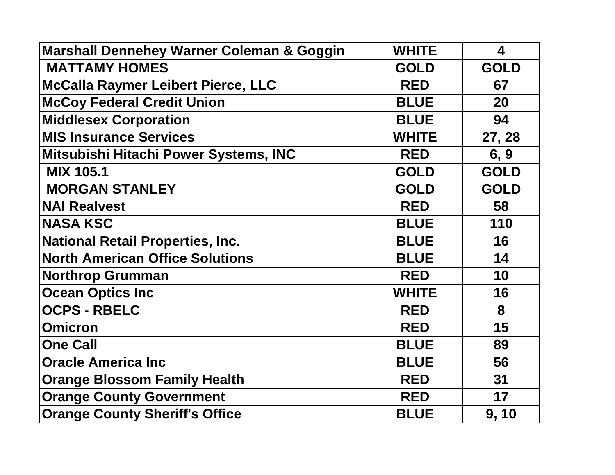| <b>Marshall Dennehey Warner Coleman &amp; Goggin</b> | <b>WHITE</b> | 4           |
|------------------------------------------------------|--------------|-------------|
| <b>MATTAMY HOMES</b>                                 | <b>GOLD</b>  | <b>GOLD</b> |
| <b>McCalla Raymer Leibert Pierce, LLC</b>            | <b>RED</b>   | 67          |
| <b>McCoy Federal Credit Union</b>                    | <b>BLUE</b>  | 20          |
| <b>Middlesex Corporation</b>                         | <b>BLUE</b>  | 94          |
| <b>MIS Insurance Services</b>                        | <b>WHITE</b> | 27, 28      |
| Mitsubishi Hitachi Power Systems, INC                | <b>RED</b>   | 6, 9        |
| <b>MIX 105.1</b>                                     | <b>GOLD</b>  | <b>GOLD</b> |
| <b>MORGAN STANLEY</b>                                | <b>GOLD</b>  | <b>GOLD</b> |
| <b>NAI Realvest</b>                                  | <b>RED</b>   | 58          |
| <b>NASA KSC</b>                                      | <b>BLUE</b>  | 110         |
| <b>National Retail Properties, Inc.</b>              | <b>BLUE</b>  | 16          |
| <b>North American Office Solutions</b>               | <b>BLUE</b>  | 14          |
| <b>Northrop Grumman</b>                              | <b>RED</b>   | 10          |
| <b>Ocean Optics Inc</b>                              | <b>WHITE</b> | 16          |
| <b>OCPS - RBELC</b>                                  | <b>RED</b>   | 8           |
| <b>Omicron</b>                                       | <b>RED</b>   | 15          |
| <b>One Call</b>                                      | <b>BLUE</b>  | 89          |
| <b>Oracle America Inc</b>                            | <b>BLUE</b>  | 56          |
| <b>Orange Blossom Family Health</b>                  | <b>RED</b>   | 31          |
| <b>Orange County Government</b>                      | <b>RED</b>   | 17          |
| <b>Orange County Sheriff's Office</b>                | <b>BLUE</b>  | 9, 10       |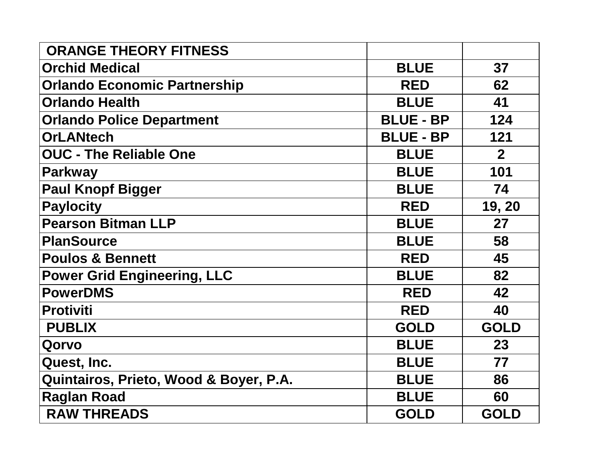| <b>ORANGE THEORY FITNESS</b>           |                  |                |
|----------------------------------------|------------------|----------------|
| <b>Orchid Medical</b>                  | <b>BLUE</b>      | 37             |
| <b>Orlando Economic Partnership</b>    | <b>RED</b>       | 62             |
| <b>Orlando Health</b>                  | <b>BLUE</b>      | 41             |
| <b>Orlando Police Department</b>       | <b>BLUE - BP</b> | 124            |
| <b>OrLANtech</b>                       | <b>BLUE - BP</b> | 121            |
| <b>OUC - The Reliable One</b>          | <b>BLUE</b>      | $\overline{2}$ |
| Parkway                                | <b>BLUE</b>      | 101            |
| <b>Paul Knopf Bigger</b>               | <b>BLUE</b>      | 74             |
| Paylocity                              | <b>RED</b>       | 19, 20         |
| <b>Pearson Bitman LLP</b>              | <b>BLUE</b>      | 27             |
| PlanSource                             | <b>BLUE</b>      | 58             |
| <b>Poulos &amp; Bennett</b>            | <b>RED</b>       | 45             |
| <b>Power Grid Engineering, LLC</b>     | <b>BLUE</b>      | 82             |
| PowerDMS                               | <b>RED</b>       | 42             |
| Protiviti                              | <b>RED</b>       | 40             |
| <b>PUBLIX</b>                          | <b>GOLD</b>      | <b>GOLD</b>    |
| Qorvo                                  | <b>BLUE</b>      | 23             |
| Quest, Inc.                            | <b>BLUE</b>      | 77             |
| Quintairos, Prieto, Wood & Boyer, P.A. | <b>BLUE</b>      | 86             |
| <b>Raglan Road</b>                     | <b>BLUE</b>      | 60             |
| <b>RAW THREADS</b>                     | <b>GOLD</b>      | <b>GOLD</b>    |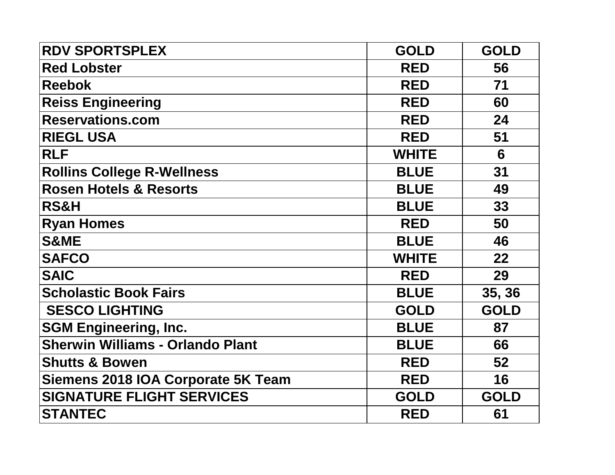| <b>RDV SPORTSPLEX</b>                   | <b>GOLD</b>  | <b>GOLD</b> |
|-----------------------------------------|--------------|-------------|
| <b>Red Lobster</b>                      | <b>RED</b>   | 56          |
| <b>Reebok</b>                           | <b>RED</b>   | 71          |
| <b>Reiss Engineering</b>                | <b>RED</b>   | 60          |
| <b>Reservations.com</b>                 | <b>RED</b>   | 24          |
| <b>RIEGL USA</b>                        | <b>RED</b>   | 51          |
| <b>RLF</b>                              | <b>WHITE</b> | 6           |
| <b>Rollins College R-Wellness</b>       | <b>BLUE</b>  | 31          |
| <b>Rosen Hotels &amp; Resorts</b>       | <b>BLUE</b>  | 49          |
| <b>RS&amp;H</b>                         | <b>BLUE</b>  | 33          |
| <b>Ryan Homes</b>                       | <b>RED</b>   | 50          |
| <b>S&amp;ME</b>                         | <b>BLUE</b>  | 46          |
| <b>SAFCO</b>                            | <b>WHITE</b> | 22          |
| <b>SAIC</b>                             | <b>RED</b>   | 29          |
| <b>Scholastic Book Fairs</b>            | <b>BLUE</b>  | 35, 36      |
| <b>SESCO LIGHTING</b>                   | <b>GOLD</b>  | <b>GOLD</b> |
| <b>SGM Engineering, Inc.</b>            | <b>BLUE</b>  | 87          |
| <b>Sherwin Williams - Orlando Plant</b> | <b>BLUE</b>  | 66          |
| <b>Shutts &amp; Bowen</b>               | <b>RED</b>   | 52          |
| Siemens 2018 IOA Corporate 5K Team      | <b>RED</b>   | 16          |
| <b>SIGNATURE FLIGHT SERVICES</b>        | <b>GOLD</b>  | <b>GOLD</b> |
| <b>STANTEC</b>                          | <b>RED</b>   | 61          |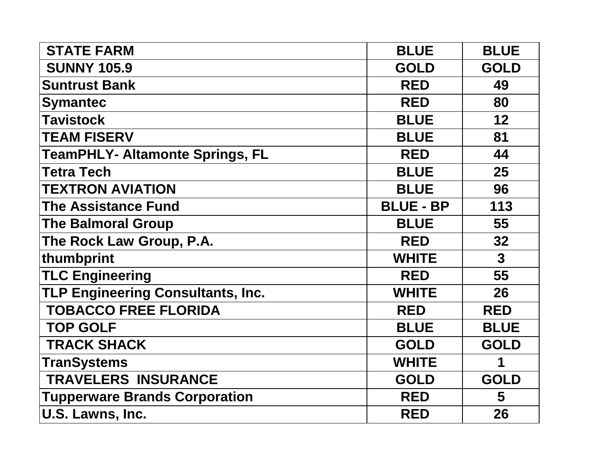| <b>STATE FARM</b>                        | <b>BLUE</b>      | <b>BLUE</b>  |
|------------------------------------------|------------------|--------------|
| <b>SUNNY 105.9</b>                       | <b>GOLD</b>      | <b>GOLD</b>  |
| <b>Suntrust Bank</b>                     | <b>RED</b>       | 49           |
| <b>Symantec</b>                          | <b>RED</b>       | 80           |
| <b>Tavistock</b>                         | <b>BLUE</b>      | 12           |
| <b>TEAM FISERV</b>                       | <b>BLUE</b>      | 81           |
| <b>TeamPHLY- Altamonte Springs, FL</b>   | <b>RED</b>       | 44           |
| <b>Tetra Tech</b>                        | <b>BLUE</b>      | 25           |
| <b>TEXTRON AVIATION</b>                  | <b>BLUE</b>      | 96           |
| <b>The Assistance Fund</b>               | <b>BLUE - BP</b> | 113          |
| <b>The Balmoral Group</b>                | <b>BLUE</b>      | 55           |
| The Rock Law Group, P.A.                 | <b>RED</b>       | 32           |
| thumbprint                               | <b>WHITE</b>     | $\mathbf{3}$ |
| <b>TLC Engineering</b>                   | <b>RED</b>       | 55           |
| <b>TLP Engineering Consultants, Inc.</b> | <b>WHITE</b>     | 26           |
| <b>TOBACCO FREE FLORIDA</b>              | <b>RED</b>       | <b>RED</b>   |
| <b>TOP GOLF</b>                          | <b>BLUE</b>      | <b>BLUE</b>  |
| <b>TRACK SHACK</b>                       | <b>GOLD</b>      | <b>GOLD</b>  |
| <b>TranSystems</b>                       | <b>WHITE</b>     | 1            |
| <b>TRAVELERS INSURANCE</b>               | <b>GOLD</b>      | <b>GOLD</b>  |
| <b>Tupperware Brands Corporation</b>     | <b>RED</b>       | 5            |
| U.S. Lawns, Inc.                         | <b>RED</b>       | 26           |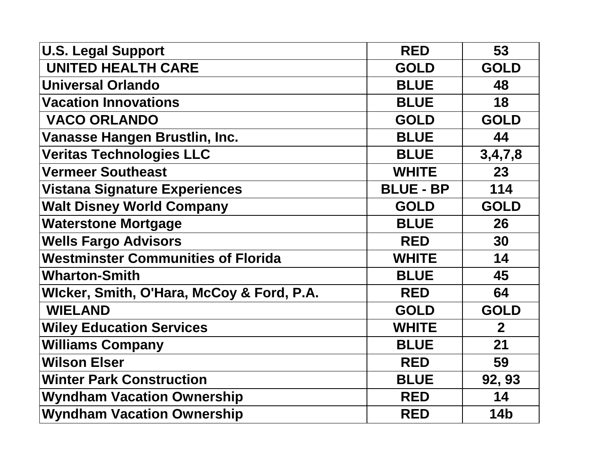| <b>U.S. Legal Support</b>                 | <b>RED</b>       | 53             |
|-------------------------------------------|------------------|----------------|
| <b>UNITED HEALTH CARE</b>                 | <b>GOLD</b>      | <b>GOLD</b>    |
| <b>Universal Orlando</b>                  | <b>BLUE</b>      | 48             |
| <b>Vacation Innovations</b>               | <b>BLUE</b>      | 18             |
| <b>VACO ORLANDO</b>                       | <b>GOLD</b>      | <b>GOLD</b>    |
| Vanasse Hangen Brustlin, Inc.             | <b>BLUE</b>      | 44             |
| <b>Veritas Technologies LLC</b>           | <b>BLUE</b>      | 3,4,7,8        |
| <b>Vermeer Southeast</b>                  | <b>WHITE</b>     | 23             |
| <b>Vistana Signature Experiences</b>      | <b>BLUE - BP</b> | 114            |
| <b>Walt Disney World Company</b>          | <b>GOLD</b>      | <b>GOLD</b>    |
| <b>Waterstone Mortgage</b>                | <b>BLUE</b>      | 26             |
| <b>Wells Fargo Advisors</b>               | <b>RED</b>       | 30             |
| <b>Westminster Communities of Florida</b> | <b>WHITE</b>     | 14             |
| <b>Wharton-Smith</b>                      | <b>BLUE</b>      | 45             |
| Wicker, Smith, O'Hara, McCoy & Ford, P.A. | <b>RED</b>       | 64             |
| <b>WIELAND</b>                            | <b>GOLD</b>      | <b>GOLD</b>    |
| <b>Wiley Education Services</b>           | <b>WHITE</b>     | $\overline{2}$ |
| <b>Williams Company</b>                   | <b>BLUE</b>      | 21             |
| <b>Wilson Elser</b>                       | <b>RED</b>       | 59             |
| <b>Winter Park Construction</b>           | <b>BLUE</b>      | 92, 93         |
| <b>Wyndham Vacation Ownership</b>         | <b>RED</b>       | 14             |
| <b>Wyndham Vacation Ownership</b>         | <b>RED</b>       | <b>14b</b>     |